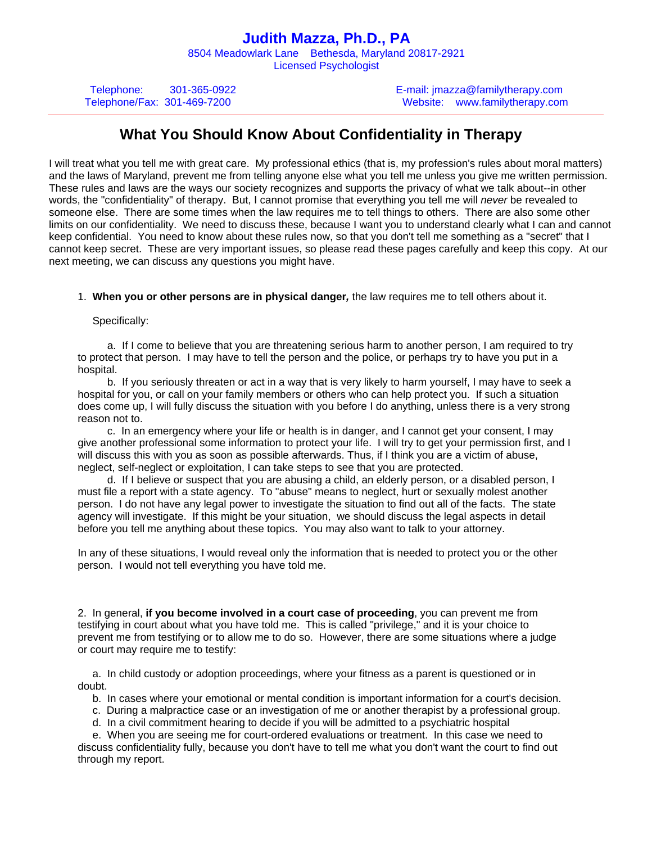Telephone: 301-365-0922 E-mail: jmazza@familytherapy.com Telephone/Fax: 301-469-7200 Website: www.familytherapy.com

## **What You Should Know About Confidentiality in Therapy**

I will treat what you tell me with great care. My professional ethics (that is, my profession's rules about moral matters) and the laws of Maryland, prevent me from telling anyone else what you tell me unless you give me written permission. These rules and laws are the ways our society recognizes and supports the privacy of what we talk about--in other words, the "confidentiality" of therapy. But, I cannot promise that everything you tell me will *never* be revealed to someone else. There are some times when the law requires me to tell things to others. There are also some other limits on our confidentiality. We need to discuss these, because I want you to understand clearly what I can and cannot keep confidential. You need to know about these rules now, so that you don't tell me something as a "secret" that I cannot keep secret. These are very important issues, so please read these pages carefully and keep this copy. At our next meeting, we can discuss any questions you might have.

## 1. **When you or other persons are in physical danger***,* the law requires me to tell others about it.

Specifically:

 a. If I come to believe that you are threatening serious harm to another person, I am required to try to protect that person. I may have to tell the person and the police, or perhaps try to have you put in a hospital.

 b. If you seriously threaten or act in a way that is very likely to harm yourself, I may have to seek a hospital for you, or call on your family members or others who can help protect you. If such a situation does come up, I will fully discuss the situation with you before I do anything, unless there is a very strong reason not to.

 c. In an emergency where your life or health is in danger, and I cannot get your consent, I may give another professional some information to protect your life. I will try to get your permission first, and I will discuss this with you as soon as possible afterwards. Thus, if I think you are a victim of abuse, neglect, self-neglect or exploitation, I can take steps to see that you are protected.

 d. If I believe or suspect that you are abusing a child, an elderly person, or a disabled person, I must file a report with a state agency. To "abuse" means to neglect, hurt or sexually molest another person. I do not have any legal power to investigate the situation to find out all of the facts. The state agency will investigate. If this might be your situation, we should discuss the legal aspects in detail before you tell me anything about these topics. You may also want to talk to your attorney.

In any of these situations, I would reveal only the information that is needed to protect you or the other person. I would not tell everything you have told me.

2. In general, **if you become involved in a court case of proceeding**, you can prevent me from testifying in court about what you have told me. This is called "privilege," and it is your choice to prevent me from testifying or to allow me to do so. However, there are some situations where a judge or court may require me to testify:

 a. In child custody or adoption proceedings, where your fitness as a parent is questioned or in doubt.

b. In cases where your emotional or mental condition is important information for a court's decision.

c. During a malpractice case or an investigation of me or another therapist by a professional group.

d. In a civil commitment hearing to decide if you will be admitted to a psychiatric hospital

 e. When you are seeing me for court-ordered evaluations or treatment. In this case we need to discuss confidentiality fully, because you don't have to tell me what you don't want the court to find out through my report.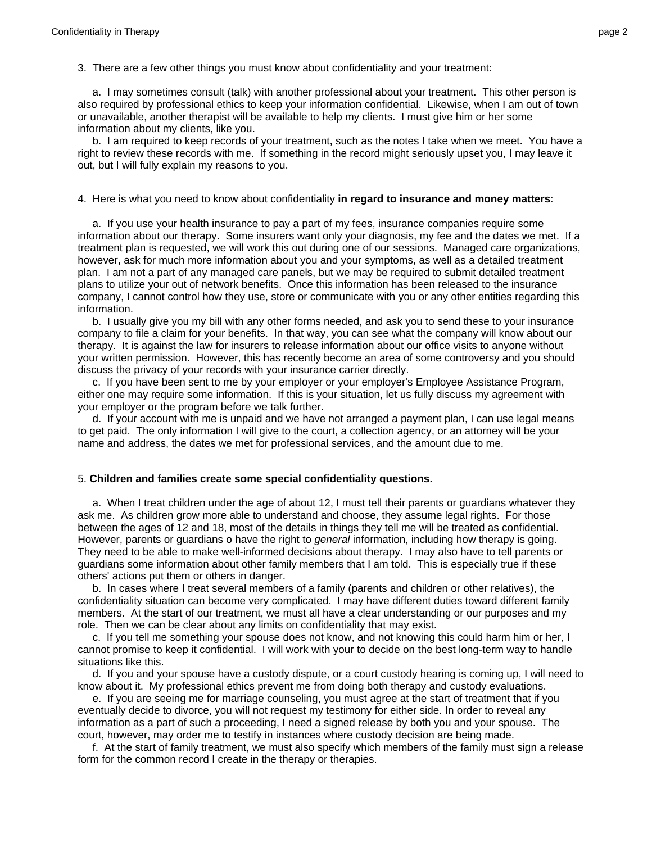3. There are a few other things you must know about confidentiality and your treatment:

 a. I may sometimes consult (talk) with another professional about your treatment. This other person is also required by professional ethics to keep your information confidential. Likewise, when I am out of town or unavailable, another therapist will be available to help my clients. I must give him or her some information about my clients, like you.

 b. I am required to keep records of your treatment, such as the notes I take when we meet. You have a right to review these records with me. If something in the record might seriously upset you, I may leave it out, but I will fully explain my reasons to you.

## 4. Here is what you need to know about confidentiality **in regard to insurance and money matters**:

 a. If you use your health insurance to pay a part of my fees, insurance companies require some information about our therapy. Some insurers want only your diagnosis, my fee and the dates we met. If a treatment plan is requested, we will work this out during one of our sessions. Managed care organizations, however, ask for much more information about you and your symptoms, as well as a detailed treatment plan. I am not a part of any managed care panels, but we may be required to submit detailed treatment plans to utilize your out of network benefits. Once this information has been released to the insurance company, I cannot control how they use, store or communicate with you or any other entities regarding this information.

 b. I usually give you my bill with any other forms needed, and ask you to send these to your insurance company to file a claim for your benefits. In that way, you can see what the company will know about our therapy. It is against the law for insurers to release information about our office visits to anyone without your written permission. However, this has recently become an area of some controversy and you should discuss the privacy of your records with your insurance carrier directly.

 c. If you have been sent to me by your employer or your employer's Employee Assistance Program, either one may require some information. If this is your situation, let us fully discuss my agreement with your employer or the program before we talk further.

 d. If your account with me is unpaid and we have not arranged a payment plan, I can use legal means to get paid. The only information I will give to the court, a collection agency, or an attorney will be your name and address, the dates we met for professional services, and the amount due to me.

## 5. **Children and families create some special confidentiality questions.**

a. When I treat children under the age of about 12, I must tell their parents or guardians whatever they ask me. As children grow more able to understand and choose, they assume legal rights. For those between the ages of 12 and 18, most of the details in things they tell me will be treated as confidential. However, parents or guardians o have the right to *general* information, including how therapy is going. They need to be able to make well-informed decisions about therapy. I may also have to tell parents or guardians some information about other family members that I am told. This is especially true if these others' actions put them or others in danger.

 b. In cases where I treat several members of a family (parents and children or other relatives), the confidentiality situation can become very complicated. I may have different duties toward different family members. At the start of our treatment, we must all have a clear understanding or our purposes and my role. Then we can be clear about any limits on confidentiality that may exist.

 c. If you tell me something your spouse does not know, and not knowing this could harm him or her, I cannot promise to keep it confidential. I will work with your to decide on the best long-term way to handle situations like this.

 d. If you and your spouse have a custody dispute, or a court custody hearing is coming up, I will need to know about it. My professional ethics prevent me from doing both therapy and custody evaluations.

 e. If you are seeing me for marriage counseling, you must agree at the start of treatment that if you eventually decide to divorce, you will not request my testimony for either side. In order to reveal any information as a part of such a proceeding, I need a signed release by both you and your spouse. The court, however, may order me to testify in instances where custody decision are being made.

 f. At the start of family treatment, we must also specify which members of the family must sign a release form for the common record I create in the therapy or therapies.